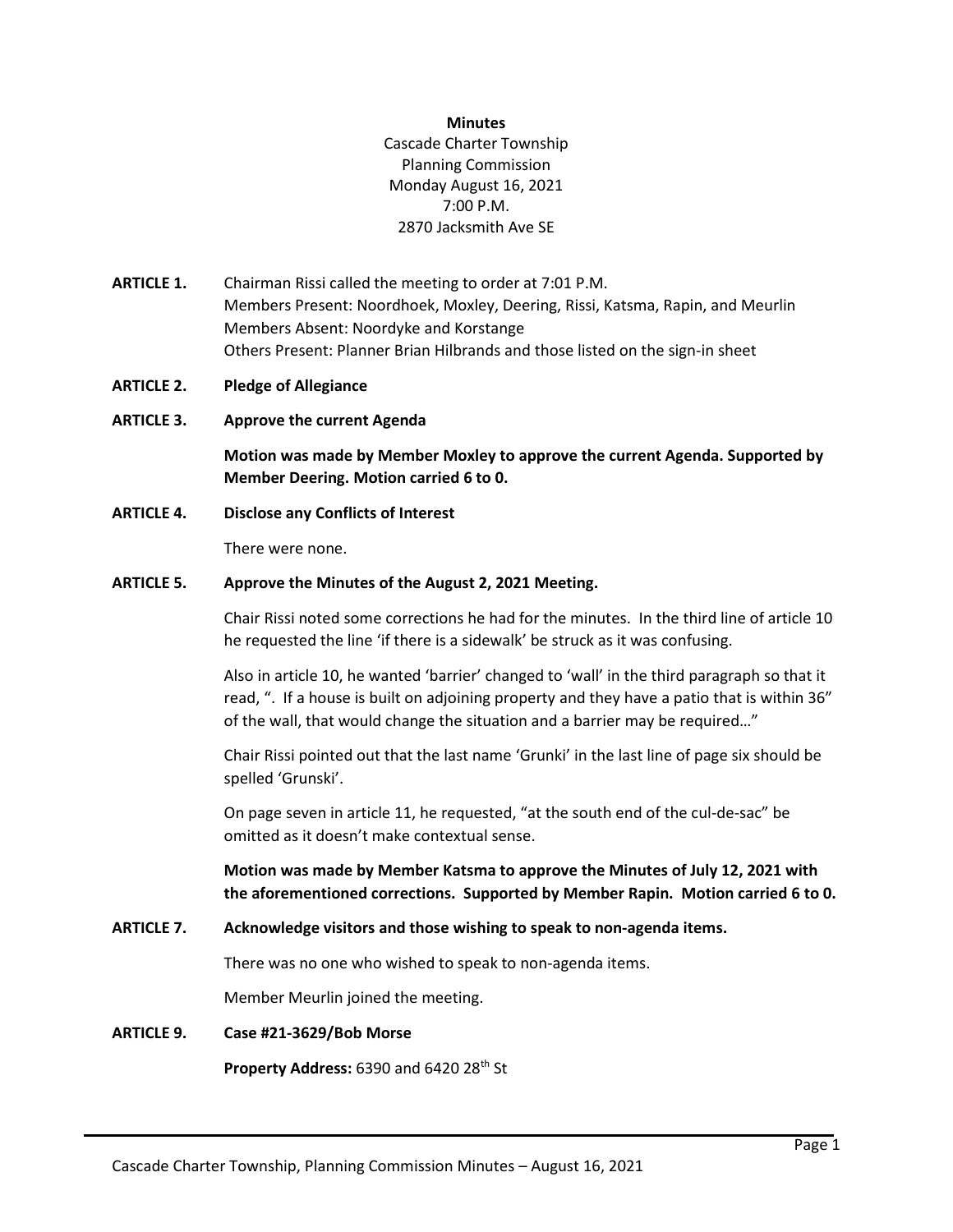#### **Minutes**

Cascade Charter Township Planning Commission Monday August 16, 2021 7:00 P.M. 2870 Jacksmith Ave SE

- **ARTICLE 1.** Chairman Rissi called the meeting to order at 7:01 P.M. Members Present: Noordhoek, Moxley, Deering, Rissi, Katsma, Rapin, and Meurlin Members Absent: Noordyke and Korstange Others Present: Planner Brian Hilbrands and those listed on the sign-in sheet
- **ARTICLE 2. Pledge of Allegiance**
- **ARTICLE 3. Approve the current Agenda**

**Motion was made by Member Moxley to approve the current Agenda. Supported by Member Deering. Motion carried 6 to 0.**

**ARTICLE 4. Disclose any Conflicts of Interest**

There were none.

## **ARTICLE 5. Approve the Minutes of the August 2, 2021 Meeting.**

Chair Rissi noted some corrections he had for the minutes. In the third line of article 10 he requested the line 'if there is a sidewalk' be struck as it was confusing.

Also in article 10, he wanted 'barrier' changed to 'wall' in the third paragraph so that it read, ". If a house is built on adjoining property and they have a patio that is within 36" of the wall, that would change the situation and a barrier may be required…"

Chair Rissi pointed out that the last name 'Grunki' in the last line of page six should be spelled 'Grunski'.

On page seven in article 11, he requested, "at the south end of the cul-de-sac" be omitted as it doesn't make contextual sense.

**Motion was made by Member Katsma to approve the Minutes of July 12, 2021 with the aforementioned corrections. Supported by Member Rapin. Motion carried 6 to 0.**

## **ARTICLE 7. Acknowledge visitors and those wishing to speak to non-agenda items.**

There was no one who wished to speak to non-agenda items.

Member Meurlin joined the meeting.

## **ARTICLE 9. Case #21-3629/Bob Morse**

**Property Address: 6390 and 6420 28<sup>th</sup> St**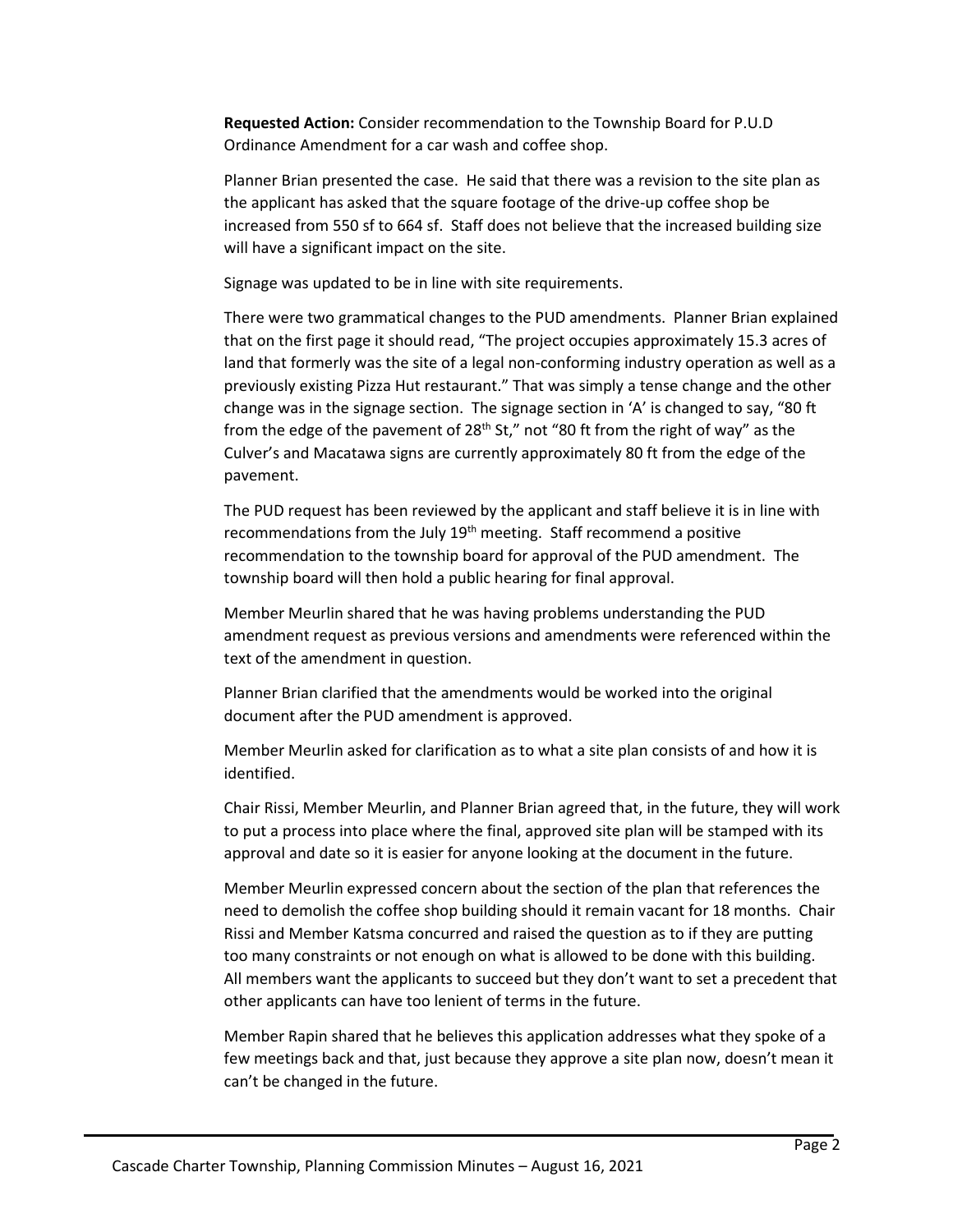**Requested Action:** Consider recommendation to the Township Board for P.U.D Ordinance Amendment for a car wash and coffee shop.

Planner Brian presented the case. He said that there was a revision to the site plan as the applicant has asked that the square footage of the drive-up coffee shop be increased from 550 sf to 664 sf. Staff does not believe that the increased building size will have a significant impact on the site.

Signage was updated to be in line with site requirements.

There were two grammatical changes to the PUD amendments. Planner Brian explained that on the first page it should read, "The project occupies approximately 15.3 acres of land that formerly was the site of a legal non-conforming industry operation as well as a previously existing Pizza Hut restaurant." That was simply a tense change and the other change was in the signage section. The signage section in 'A' is changed to say, "80 ft from the edge of the pavement of  $28<sup>th</sup>$  St," not "80 ft from the right of way" as the Culver's and Macatawa signs are currently approximately 80 ft from the edge of the pavement.

The PUD request has been reviewed by the applicant and staff believe it is in line with recommendations from the July 19th meeting. Staff recommend a positive recommendation to the township board for approval of the PUD amendment. The township board will then hold a public hearing for final approval.

Member Meurlin shared that he was having problems understanding the PUD amendment request as previous versions and amendments were referenced within the text of the amendment in question.

Planner Brian clarified that the amendments would be worked into the original document after the PUD amendment is approved.

Member Meurlin asked for clarification as to what a site plan consists of and how it is identified.

Chair Rissi, Member Meurlin, and Planner Brian agreed that, in the future, they will work to put a process into place where the final, approved site plan will be stamped with its approval and date so it is easier for anyone looking at the document in the future.

Member Meurlin expressed concern about the section of the plan that references the need to demolish the coffee shop building should it remain vacant for 18 months. Chair Rissi and Member Katsma concurred and raised the question as to if they are putting too many constraints or not enough on what is allowed to be done with this building. All members want the applicants to succeed but they don't want to set a precedent that other applicants can have too lenient of terms in the future.

Member Rapin shared that he believes this application addresses what they spoke of a few meetings back and that, just because they approve a site plan now, doesn't mean it can't be changed in the future.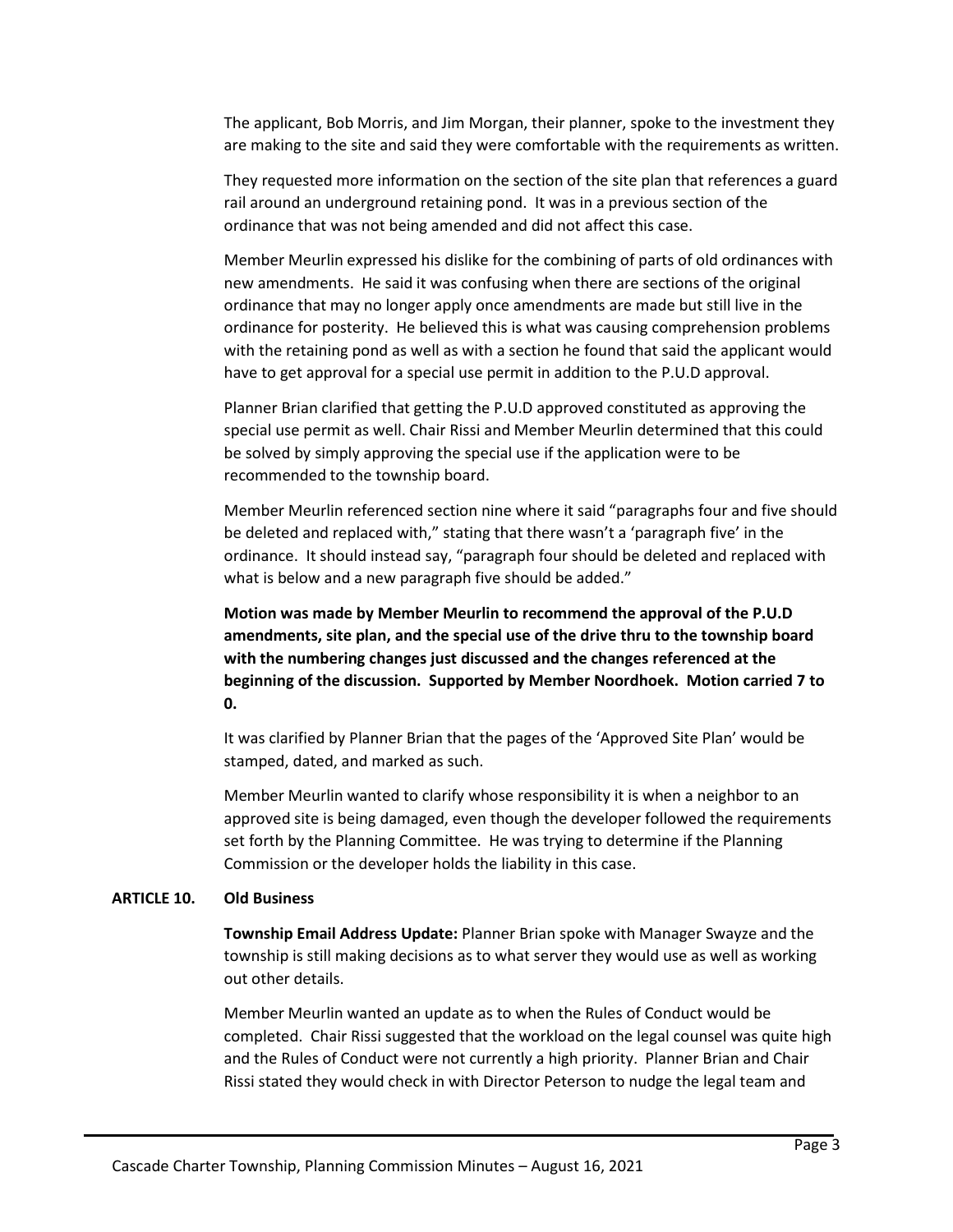The applicant, Bob Morris, and Jim Morgan, their planner, spoke to the investment they are making to the site and said they were comfortable with the requirements as written.

They requested more information on the section of the site plan that references a guard rail around an underground retaining pond. It was in a previous section of the ordinance that was not being amended and did not affect this case.

Member Meurlin expressed his dislike for the combining of parts of old ordinances with new amendments. He said it was confusing when there are sections of the original ordinance that may no longer apply once amendments are made but still live in the ordinance for posterity. He believed this is what was causing comprehension problems with the retaining pond as well as with a section he found that said the applicant would have to get approval for a special use permit in addition to the P.U.D approval.

Planner Brian clarified that getting the P.U.D approved constituted as approving the special use permit as well. Chair Rissi and Member Meurlin determined that this could be solved by simply approving the special use if the application were to be recommended to the township board.

Member Meurlin referenced section nine where it said "paragraphs four and five should be deleted and replaced with," stating that there wasn't a 'paragraph five' in the ordinance. It should instead say, "paragraph four should be deleted and replaced with what is below and a new paragraph five should be added."

**Motion was made by Member Meurlin to recommend the approval of the P.U.D amendments, site plan, and the special use of the drive thru to the township board with the numbering changes just discussed and the changes referenced at the beginning of the discussion. Supported by Member Noordhoek. Motion carried 7 to 0.** 

It was clarified by Planner Brian that the pages of the 'Approved Site Plan' would be stamped, dated, and marked as such.

Member Meurlin wanted to clarify whose responsibility it is when a neighbor to an approved site is being damaged, even though the developer followed the requirements set forth by the Planning Committee. He was trying to determine if the Planning Commission or the developer holds the liability in this case.

#### **ARTICLE 10. Old Business**

**Township Email Address Update:** Planner Brian spoke with Manager Swayze and the township is still making decisions as to what server they would use as well as working out other details.

Member Meurlin wanted an update as to when the Rules of Conduct would be completed. Chair Rissi suggested that the workload on the legal counsel was quite high and the Rules of Conduct were not currently a high priority. Planner Brian and Chair Rissi stated they would check in with Director Peterson to nudge the legal team and